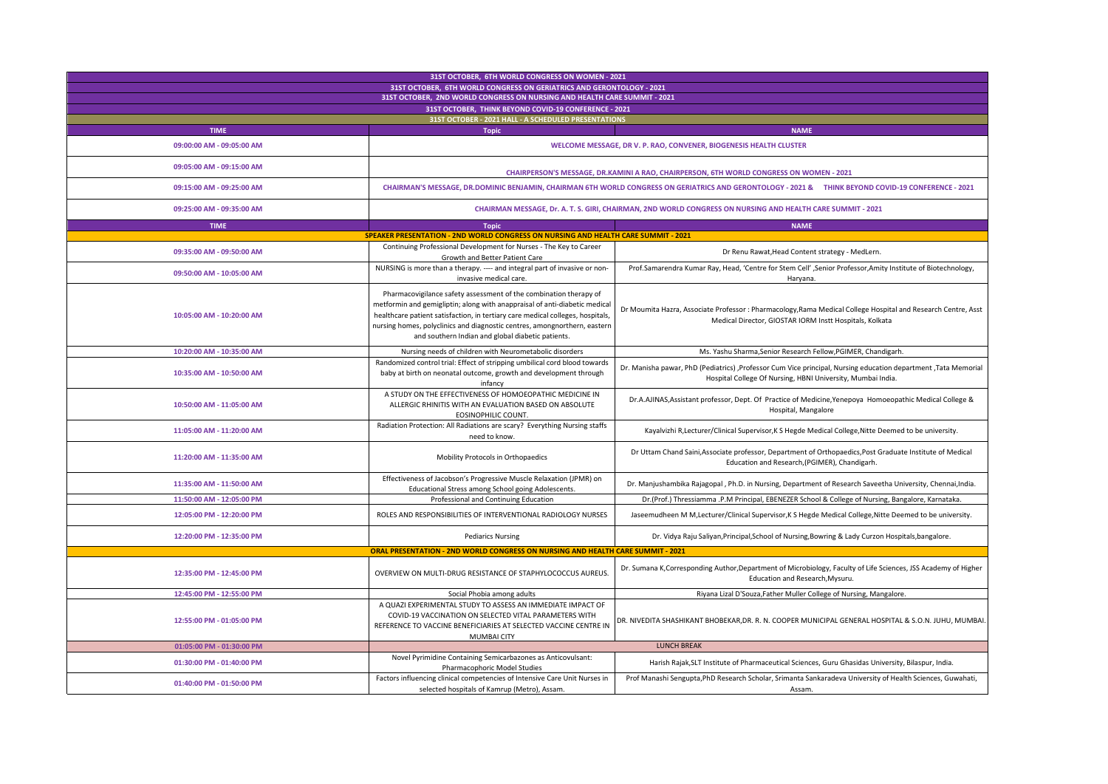| 31ST OCTOBER, 6TH WORLD CONGRESS ON WOMEN - 2021<br>31ST OCTOBER, 6TH WORLD CONGRESS ON GERIATRICS AND GERONTOLOGY - 2021          |                                                                                                                                                                                                                                                                                                                                                                    |                                                                                                                                                                               |  |  |
|------------------------------------------------------------------------------------------------------------------------------------|--------------------------------------------------------------------------------------------------------------------------------------------------------------------------------------------------------------------------------------------------------------------------------------------------------------------------------------------------------------------|-------------------------------------------------------------------------------------------------------------------------------------------------------------------------------|--|--|
| 31ST OCTOBER, 2ND WORLD CONGRESS ON NURSING AND HEALTH CARE SUMMIT - 2021<br>31ST OCTOBER. THINK BEYOND COVID-19 CONFERENCE - 2021 |                                                                                                                                                                                                                                                                                                                                                                    |                                                                                                                                                                               |  |  |
|                                                                                                                                    |                                                                                                                                                                                                                                                                                                                                                                    |                                                                                                                                                                               |  |  |
| 09:00:00 AM - 09:05:00 AM                                                                                                          |                                                                                                                                                                                                                                                                                                                                                                    | WELCOME MESSAGE, DR V. P. RAO, CONVENER, BIOGENESIS HEALTH CLUSTER                                                                                                            |  |  |
| 09:05:00 AM - 09:15:00 AM                                                                                                          | CHAIRPERSON'S MESSAGE, DR.KAMINI A RAO, CHAIRPERSON, 6TH WORLD CONGRESS ON WOMEN - 2021                                                                                                                                                                                                                                                                            |                                                                                                                                                                               |  |  |
| 09:15:00 AM - 09:25:00 AM                                                                                                          | CHAIRMAN'S MESSAGE, DR.DOMINIC BENJAMIN, CHAIRMAN 6TH WORLD CONGRESS ON GERIATRICS AND GERONTOLOGY - 2021 & THINK BEYOND COVID-19 CONFERENCE - 2021                                                                                                                                                                                                                |                                                                                                                                                                               |  |  |
| 09:25:00 AM - 09:35:00 AM                                                                                                          | CHAIRMAN MESSAGE, Dr. A. T. S. GIRI, CHAIRMAN, 2ND WORLD CONGRESS ON NURSING AND HEALTH CARE SUMMIT - 2021                                                                                                                                                                                                                                                         |                                                                                                                                                                               |  |  |
| <b>TIME</b><br><b>NAME</b><br><b>Topic</b><br>SPEAKER PRESENTATION - 2ND WORLD CONGRESS ON NURSING AND HEALTH CARE SUMMIT - 2021   |                                                                                                                                                                                                                                                                                                                                                                    |                                                                                                                                                                               |  |  |
|                                                                                                                                    | Continuing Professional Development for Nurses - The Key to Career                                                                                                                                                                                                                                                                                                 |                                                                                                                                                                               |  |  |
| 09:35:00 AM - 09:50:00 AM                                                                                                          | Growth and Better Patient Care                                                                                                                                                                                                                                                                                                                                     | Dr Renu Rawat, Head Content strategy - MedLern.                                                                                                                               |  |  |
| 09:50:00 AM - 10:05:00 AM                                                                                                          | NURSING is more than a therapy. ---- and integral part of invasive or non-<br>invasive medical care.                                                                                                                                                                                                                                                               | Prof.Samarendra Kumar Ray, Head, 'Centre for Stem Cell', Senior Professor, Amity Institute of Biotechnology,<br>Haryana.                                                      |  |  |
| 10:05:00 AM - 10:20:00 AM                                                                                                          | Pharmacovigilance safety assessment of the combination therapy of<br>metformin and gemigliptin; along with anappraisal of anti-diabetic medical<br>healthcare patient satisfaction, in tertiary care medical colleges, hospitals<br>nursing homes, polyclinics and diagnostic centres, amongnorthern, eastern<br>and southern Indian and global diabetic patients. | Dr Moumita Hazra, Associate Professor : Pharmacology, Rama Medical College Hospital and Research Centre, Asst<br>Medical Director, GIOSTAR IORM Instt Hospitals, Kolkata      |  |  |
| 10:20:00 AM - 10:35:00 AM                                                                                                          | Nursing needs of children with Neurometabolic disorders                                                                                                                                                                                                                                                                                                            | Ms. Yashu Sharma, Senior Research Fellow, PGIMER, Chandigarh.                                                                                                                 |  |  |
| 10:35:00 AM - 10:50:00 AM                                                                                                          | Randomized control trial: Effect of stripping umbilical cord blood towards<br>baby at birth on neonatal outcome, growth and development through<br>infancy                                                                                                                                                                                                         | Dr. Manisha pawar, PhD (Pediatrics), Professor Cum Vice principal, Nursing education department, Tata Memorial<br>Hospital College Of Nursing, HBNI University, Mumbai India. |  |  |
| 10:50:00 AM - 11:05:00 AM                                                                                                          | A STUDY ON THE EFFECTIVENESS OF HOMOEOPATHIC MEDICINE IN<br>ALLERGIC RHINITIS WITH AN EVALUATION BASED ON ABSOLUTE<br>EOSINOPHILIC COUNT.                                                                                                                                                                                                                          | Dr.A.AJINAS, Assistant professor, Dept. Of Practice of Medicine, Yenepoya Homoeopathic Medical College &<br>Hospital, Mangalore                                               |  |  |
| 11:05:00 AM - 11:20:00 AM                                                                                                          | Radiation Protection: All Radiations are scary? Everything Nursing staffs<br>need to know.                                                                                                                                                                                                                                                                         | Kayalvizhi R, Lecturer/Clinical Supervisor, K S Hegde Medical College, Nitte Deemed to be university.                                                                         |  |  |
| 11:20:00 AM - 11:35:00 AM                                                                                                          | Mobility Protocols in Orthopaedics                                                                                                                                                                                                                                                                                                                                 | Dr Uttam Chand Saini, Associate professor, Department of Orthopaedics, Post Graduate Institute of Medical<br>Education and Research,(PGIMER), Chandigarh.                     |  |  |
| 11:35:00 AM - 11:50:00 AM                                                                                                          | Effectiveness of Jacobson's Progressive Muscle Relaxation (JPMR) on<br>Educational Stress among School going Adolescents.                                                                                                                                                                                                                                          | Dr. Manjushambika Rajagopal, Ph.D. in Nursing, Department of Research Saveetha University, Chennai, India.                                                                    |  |  |
| 11:50:00 AM - 12:05:00 PM                                                                                                          | Professional and Continuing Education                                                                                                                                                                                                                                                                                                                              | Dr.(Prof.) Thressiamma .P.M Principal, EBENEZER School & College of Nursing, Bangalore, Karnataka.                                                                            |  |  |
| 12:05:00 PM - 12:20:00 PM                                                                                                          | ROLES AND RESPONSIBILITIES OF INTERVENTIONAL RADIOLOGY NURSES                                                                                                                                                                                                                                                                                                      | Jaseemudheen M M, Lecturer/Clinical Supervisor, K S Hegde Medical College, Nitte Deemed to be university.                                                                     |  |  |
| 12:20:00 PM - 12:35:00 PM                                                                                                          | <b>Pediarics Nursing</b>                                                                                                                                                                                                                                                                                                                                           | Dr. Vidya Raju Saliyan, Principal, School of Nursing, Bowring & Lady Curzon Hospitals, bangalore.                                                                             |  |  |
| <b>ORAL PRESENTATION - 2ND WORLD CONGRESS ON NURSING AND HEALTH CARE SUMMIT - 2021</b>                                             |                                                                                                                                                                                                                                                                                                                                                                    |                                                                                                                                                                               |  |  |
| 12:35:00 PM - 12:45:00 PM                                                                                                          | OVERVIEW ON MULTI-DRUG RESISTANCE OF STAPHYLOCOCCUS AUREUS                                                                                                                                                                                                                                                                                                         | Dr. Sumana K, Corresponding Author, Department of Microbiology, Faculty of Life Sciences, JSS Academy of Higher<br>Education and Research, Mysuru.                            |  |  |
| 12:45:00 PM - 12:55:00 PM                                                                                                          | Social Phobia among adults                                                                                                                                                                                                                                                                                                                                         | Riyana Lizal D'Souza, Father Muller College of Nursing, Mangalore.                                                                                                            |  |  |
| 12:55:00 PM - 01:05:00 PM                                                                                                          | A QUAZI EXPERIMENTAL STUDY TO ASSESS AN IMMEDIATE IMPACT OF<br>COVID-19 VACCINATION ON SELECTED VITAL PARAMETERS WITH<br>REFERENCE TO VACCINE BENEFICIARIES AT SELECTED VACCINE CENTRE IN<br>MUMBAI CITY                                                                                                                                                           | DR. NIVEDITA SHASHIKANT BHOBEKAR,DR. R. N. COOPER MUNICIPAL GENERAL HOSPITAL & S.O.N. JUHU, MUMBAI.                                                                           |  |  |
| 01:05:00 PM - 01:30:00 PM                                                                                                          |                                                                                                                                                                                                                                                                                                                                                                    | <b>LUNCH BREAK</b>                                                                                                                                                            |  |  |
| 01:30:00 PM - 01:40:00 PM                                                                                                          | Novel Pyrimidine Containing Semicarbazones as Anticovulsant:<br>Pharmacophoric Model Studies                                                                                                                                                                                                                                                                       | Harish Rajak, SLT Institute of Pharmaceutical Sciences, Guru Ghasidas University, Bilaspur, India.                                                                            |  |  |
|                                                                                                                                    | Factors influencing clinical competencies of Intensive Care Unit Nurses in                                                                                                                                                                                                                                                                                         | Prof Manashi Sengupta, PhD Research Scholar, Srimanta Sankaradeva University of Health Sciences, Guwahati,                                                                    |  |  |